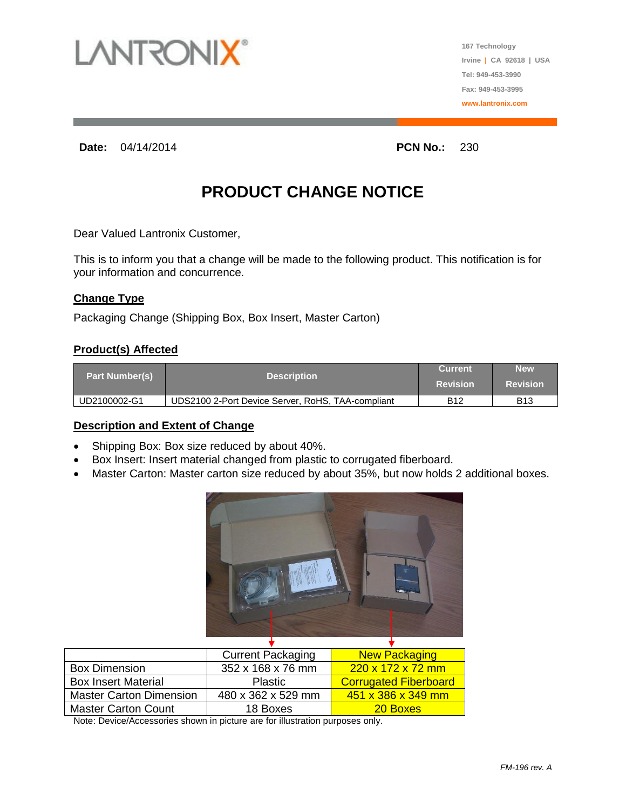

**167 Technology Irvine | CA 92618 | USA Tel: 949-453-3990 Fax: 949-453-3995 www.lantronix.com**

**Date:** 04/14/2014 **PCN No.:** 230

# **PRODUCT CHANGE NOTICE**

Dear Valued Lantronix Customer,

This is to inform you that a change will be made to the following product. This notification is for your information and concurrence.

## **Change Type**

Packaging Change (Shipping Box, Box Insert, Master Carton)

## **Product(s) Affected**

| <b>Part Number(s)</b> | <b>Description</b>                                | <b>Current</b>  | <b>New</b>      |
|-----------------------|---------------------------------------------------|-----------------|-----------------|
|                       |                                                   | <b>Revision</b> | <b>Revision</b> |
| UD2100002-G1          | UDS2100 2-Port Device Server, RoHS, TAA-compliant | <b>B12</b>      | <b>B13</b>      |

#### **Description and Extent of Change**

- Shipping Box: Box size reduced by about 40%.
- Box Insert: Insert material changed from plastic to corrugated fiberboard.
- Master Carton: Master carton size reduced by about 35%, but now holds 2 additional boxes.



|                                | <b>Current Packaging</b> | <b>New Packaging</b>           |
|--------------------------------|--------------------------|--------------------------------|
| <b>Box Dimension</b>           | 352 x 168 x 76 mm        | $220 \times 172 \times 72$ mm  |
| <b>Box Insert Material</b>     | <b>Plastic</b>           | <b>Corrugated Fiberboard</b>   |
| <b>Master Carton Dimension</b> | 480 x 362 x 529 mm       | $451 \times 386 \times 349$ mm |
| <b>Master Carton Count</b>     | 18 Boxes                 | 20 Boxes                       |

Note: Device/Accessories shown in picture are for illustration purposes only.